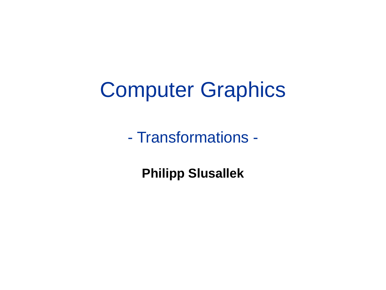### Computer Graphics

- Transformations -

**Philipp Slusallek**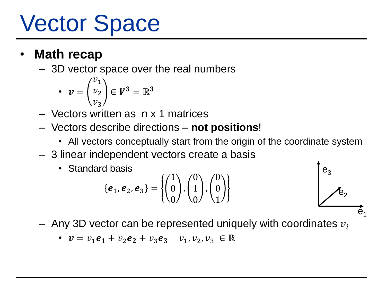## Vector Space

#### • **Math recap**

– 3D vector space over the real numbers

• 
$$
v = \begin{pmatrix} v_1 \\ v_2 \\ v_3 \end{pmatrix} \in V^3 = \mathbb{R}^3
$$

- Vectors written as n x 1 matrices
- Vectors describe directions **not positions**!
	- All vectors conceptually start from the origin of the coordinate system
- 3 linear independent vectors create a basis
	- Standard basis

$$
\{\boldsymbol{e}_1, \boldsymbol{e}_2, \boldsymbol{e}_3\} = \left\{ \begin{pmatrix} 1 \\ 0 \\ 0 \end{pmatrix}, \begin{pmatrix} 0 \\ 1 \\ 0 \end{pmatrix}, \begin{pmatrix} 0 \\ 0 \\ 1 \end{pmatrix} \right\}
$$



- Any 3D vector can be represented uniquely with coordinates  $v_i$ 
	- $v = v_1 e_1 + v_2 e_2 + v_3 e_3$   $v_1, v_2, v_3 \in \mathbb{R}$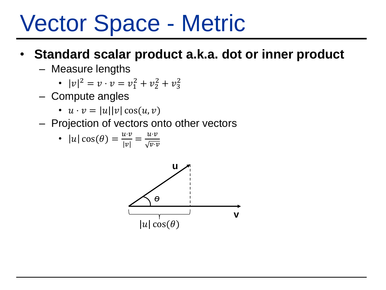### Vector Space - Metric

#### • **Standard scalar product a.k.a. dot or inner product**

– Measure lengths

• 
$$
|v|^2 = v \cdot v = v_1^2 + v_2^2 + v_3^2
$$

- Compute angles
	- $u \cdot v = |u||v| \cos(u, v)$
- Projection of vectors onto other vectors

• 
$$
|u|\cos(\theta) = \frac{u \cdot v}{|v|} = \frac{u \cdot v}{\sqrt{v \cdot v}}
$$

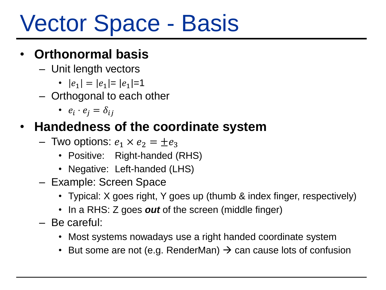## Vector Space - Basis

#### • **Orthonormal basis**

- Unit length vectors
	- $|e_1| = |e_1| = |e_1| = 1$
- Orthogonal to each other
	- $e_i \cdot e_j = \delta_{ij}$

#### • **Handedness of the coordinate system**

- Two options:  $e_1 \times e_2 = \pm e_3$ 
	- Positive: Right-handed (RHS)
	- Negative: Left-handed (LHS)
- Example: Screen Space
	- Typical: X goes right, Y goes up (thumb & index finger, respectively)
	- In a RHS: Z goes *out* of the screen (middle finger)
- Be careful:
	- Most systems nowadays use a right handed coordinate system
	- But some are not (e.g. RenderMan)  $\rightarrow$  can cause lots of confusion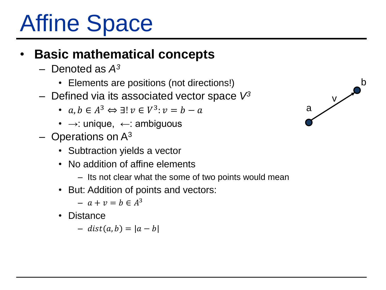## Affine Space

#### • **Basic mathematical concepts**

- Denoted as *A<sup>3</sup>*
	- Elements are positions (not directions!)
- Defined via its associated vector space *V<sup>3</sup>*
	- $a, b \in A^3 \Leftrightarrow \exists! v \in V^3$ :  $v = b a$
	- $\rightarrow$ : unique,  $\leftarrow$ : ambiguous
- $-$  Operations on  $A^3$ 
	- Subtraction yields a vector
	- No addition of affine elements
		- Its not clear what the some of two points would mean
	- But: Addition of points and vectors:
		- $a + v = b \in A^3$
	- Distance
		- $-$  dist(a, b) =  $|a b|$

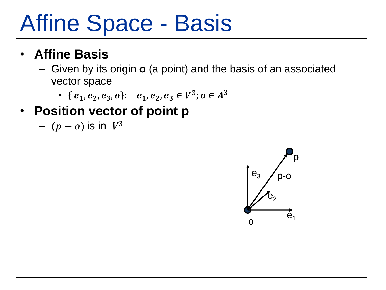### Affine Space - Basis

#### • **Affine Basis**

- Given by its origin **o** (a point) and the basis of an associated vector space
	- { $e_1, e_2, e_3, o$ }:  $e_1, e_2, e_3 \in V^3$ ;  $o \in A^3$

#### • **Position vector of point p**

–  $(p - o)$  is in  $V^3$ 

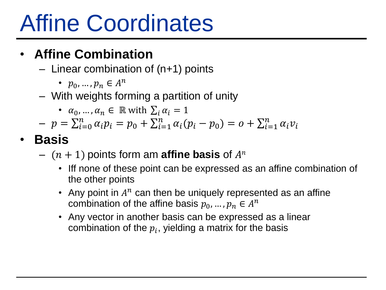### Affine Coordinates

### • **Affine Combination**

- Linear combination of (n+1) points
	- $p_0, ..., p_n \in A^n$
- With weights forming a partition of unity
	- $\alpha_0, ..., \alpha_n \in \mathbb{R}$  with  $\sum_i \alpha_i = 1$
- $-p = \sum_{i=0}^{n} \alpha_i p_i = p_0 + \sum_{i=1}^{n} \alpha_i (p_i p_0) = o + \sum_{i=1}^{n} \alpha_i v_i$
- **Basis**
	- $(n + 1)$  points form am **affine basis** of  $A^n$ 
		- Iff none of these point can be expressed as an affine combination of the other points
		- Any point in  $A^n$  can then be uniquely represented as an affine combination of the affine basis  $p_0, ..., p_n \in A^n$
		- Any vector in another basis can be expressed as a linear combination of the  $p_i$ , yielding a matrix for the basis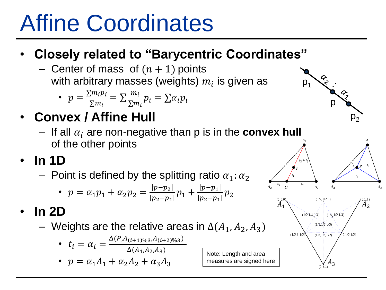## Affine Coordinates

### • **Closely related to "Barycentric Coordinates"**

- Center of mass of  $(n + 1)$  points with arbitrary masses (weights)  $m_{\widetilde t}$  is given as

• 
$$
p = \frac{\sum m_i p_i}{\sum m_i} = \sum \frac{m_i}{\sum m_i} p_i = \sum \alpha_i p_i
$$

- **Convex / Affine Hull**
	- $-$  If all  $\alpha_i$  are non-negative than p is in the **convex hull** of the other points
- **In 1D**
	- Point is defined by the splitting ratio  $\alpha_1$ :  $\alpha_2$

• 
$$
p = \alpha_1 p_1 + \alpha_2 p_2 = \frac{|p - p_2|}{|p_2 - p_1|} p_1 + \frac{|p - p_1|}{|p_2 - p_1|} p_2
$$

- **In 2D**
	- Weights are the relative areas in  $\Delta(A_1, A_2, A_3)$ 
		- $t_i = \alpha_i = \frac{\Delta(P, A_{(i+1)\%3}, A_{(i+2)\%3})}{\Delta(A, A_2, A_3)}$  $\Delta(A_1, A_2, A_3)$
		- $p = \alpha_1 A_1 + \alpha_2 A_2 + \alpha_3 A_3$



 $A_{\mathcal{D}}$ 



 $A_1 \searrow$   $A_2$ 

 $(1/2, 1/4, 1/4)$   $(1/4, 1/2, 1/4)$  $(1/3, 1/3, 1/3)$  $(1/4, 1/4, 1/2)$ 

 $t<sub>2</sub>$ 

 $(1/2, 0, 1/$ 

 $A_3$ 

 $(0, 1/2, 1/2)$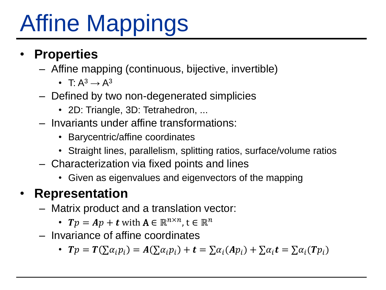# Affine Mappings

#### • **Properties**

- Affine mapping (continuous, bijective, invertible)
	- T $\cdot$  A<sup>3</sup>  $\rightarrow$  A<sup>3</sup>
- Defined by two non-degenerated simplicies
	- 2D: Triangle, 3D: Tetrahedron, ...
- Invariants under affine transformations:
	- Barycentric/affine coordinates
	- Straight lines, parallelism, splitting ratios, surface/volume ratios
- Characterization via fixed points and lines
	- Given as eigenvalues and eigenvectors of the mapping

### • **Representation**

- Matrix product and a translation vector:
	- $Tp = Ap + t$  with  $A \in \mathbb{R}^{n \times n}$ ,  $t \in \mathbb{R}^n$
- Invariance of affine coordinates
	- $Tp = T(\sum \alpha_i p_i) = A(\sum \alpha_i p_i) + t = \sum \alpha_i (Ap_i) + \sum \alpha_i t = \sum \alpha_i (Tp_i)$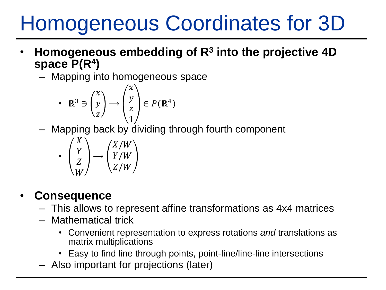### Homogeneous Coordinates for 3D

- **Homogeneous embedding of R<sup>3</sup> into the projective 4D space P(R<sup>4</sup> )**
	- Mapping into homogeneous space

• 
$$
\mathbb{R}^3 \ni \begin{pmatrix} x \\ y \\ z \end{pmatrix} \rightarrow \begin{pmatrix} x \\ y \\ z \\ 1 \end{pmatrix} \in P(\mathbb{R}^4)
$$

– Mapping back by dividing through fourth component

$$
\bullet \begin{pmatrix} X \\ Y \\ Z \\ W \end{pmatrix} \longrightarrow \begin{pmatrix} X/W \\ Y/W \\ Z/W \end{pmatrix}
$$

#### • **Consequence**

- This allows to represent affine transformations as 4x4 matrices
- Mathematical trick
	- Convenient representation to express rotations *and* translations as matrix multiplications
	- Easy to find line through points, point-line/line-line intersections
- Also important for projections (later)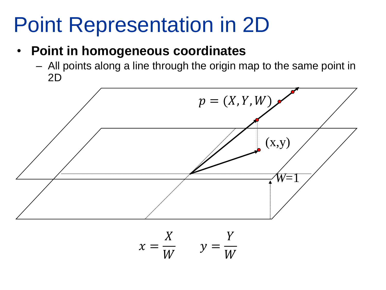### Point Representation in 2D

#### • **Point in homogeneous coordinates**

– All points along a line through the origin map to the same point in 2D

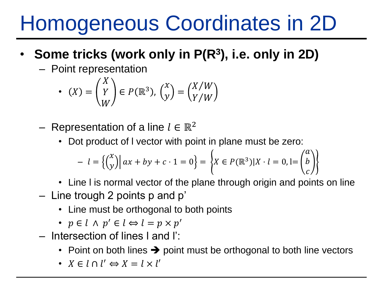### Homogeneous Coordinates in 2D

- **Some tricks (work only in P(R<sup>3</sup> ), i.e. only in 2D)**
	- Point representation

• 
$$
(X) = \begin{pmatrix} X \\ Y \\ W \end{pmatrix} \in P(\mathbb{R}^3), \begin{pmatrix} x \\ y \end{pmatrix} = \begin{pmatrix} X/W \\ Y/W \end{pmatrix}
$$

- Representation of a line  $l \in \mathbb{R}^2$ 
	- Dot product of I vector with point in plane must be zero:

$$
- l = \left\{ \begin{pmatrix} x \\ y \end{pmatrix} \middle| ax + by + c \cdot 1 = 0 \right\} = \left\{ X \in P(\mathbb{R}^3) \middle| X \cdot l = 0, l = \begin{pmatrix} a \\ b \\ c \end{pmatrix} \right\}
$$

- Line I is normal vector of the plane through origin and points on line
- Line trough 2 points p and p'
	- Line must be orthogonal to both points
	- $p \in l \land p' \in l \Leftrightarrow l = p \times p'$
- Intersection of lines l and l':
	- Point on both lines  $\rightarrow$  point must be orthogonal to both line vectors
	- $X \in l \cap l' \Leftrightarrow X = l \times l'$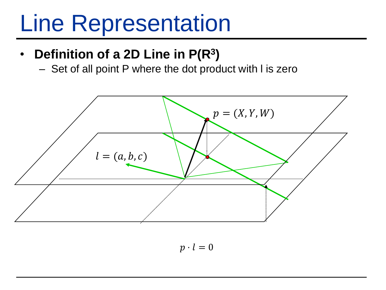### Line Representation

### • **Definition of a 2D Line in P(R<sup>3</sup> )**

– Set of all point P where the dot product with l is zero



 $p \cdot l = 0$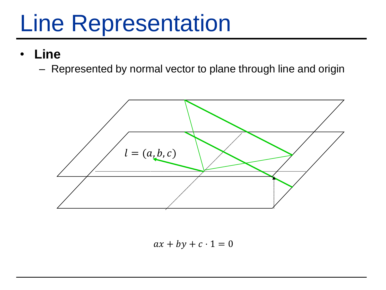### Line Representation

- **Line**
	- Represented by normal vector to plane through line and origin



 $ax + by + c \cdot 1 = 0$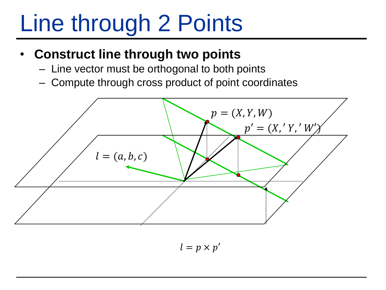# Line through 2 Points

#### • **Construct line through two points**

- Line vector must be orthogonal to both points
- Compute through cross product of point coordinates



 $l = p \times p'$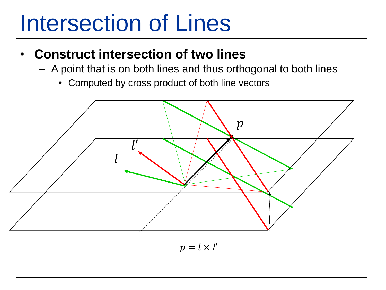### Intersection of Lines

- **Construct intersection of two lines**
	- A point that is on both lines and thus orthogonal to both lines
		- Computed by cross product of both line vectors



 $p = l \times l'$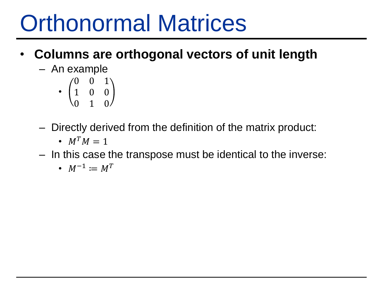## Orthonormal Matrices

- **Columns are orthogonal vectors of unit length**
	- An example
		- 0 0 1 1 0 0 0 1 0
	- Directly derived from the definition of the matrix product:
		- $M^T M = 1$
	- In this case the transpose must be identical to the inverse:
		- $M^{-1} \coloneqq M^T$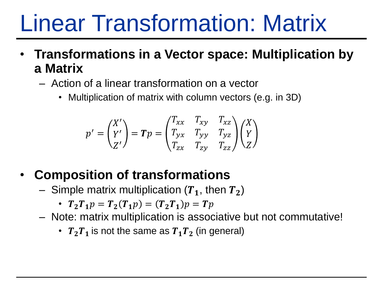## Linear Transformation: Matrix

- **Transformations in a Vector space: Multiplication by a Matrix**
	- Action of a linear transformation on a vector
		- Multiplication of matrix with column vectors (e.g. in 3D)

$$
p' = \begin{pmatrix} X' \\ Y' \\ Z' \end{pmatrix} = \boldsymbol{T}p = \begin{pmatrix} T_{xx} & T_{xy} & T_{xz} \\ T_{yx} & T_{yy} & T_{yz} \\ T_{zx} & T_{zy} & T_{zz} \end{pmatrix} \begin{pmatrix} X \\ Y \\ Z \end{pmatrix}
$$

### • **Composition of transformations**

- Simple matrix multiplication  $(T_1,$  then  $T_2)$ 
	- $T_2T_1p = T_2(T_1p) = (T_2T_1)p = Tp$
- Note: matrix multiplication is associative but not commutative!
	- $T_2T_1$  is not the same as  $T_1T_2$  (in general)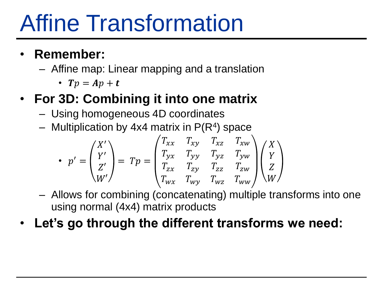## Affine Transformation

#### • **Remember:**

– Affine map: Linear mapping and a translation

•  $Tp = Ap + t$ 

### • **For 3D: Combining it into one matrix**

- Using homogeneous 4D coordinates
- $-$  Multiplication by 4x4 matrix in  $P(R<sup>4</sup>)$  space

$$
\bullet \ \ p' = \begin{pmatrix} X' \\ Y' \\ Z' \\ W' \end{pmatrix} = Tp = \begin{pmatrix} T_{xx} & T_{xy} & T_{xz} & T_{xw} \\ T_{yx} & T_{yy} & T_{yz} & T_{yw} \\ T_{zx} & T_{zy} & T_{zz} & T_{zw} \\ T_{wx} & T_{wy} & T_{wz} & T_{ww} \end{pmatrix} \begin{pmatrix} X \\ Y \\ Z \\ W \end{pmatrix}
$$

- Allows for combining (concatenating) multiple transforms into one using normal (4x4) matrix products
- **Let's go through the different transforms we need:**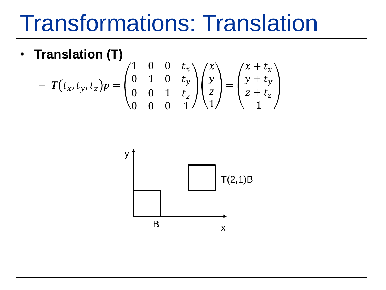### Transformations: Translation

• **Translation (T)**

$$
-T(t_x, t_y, t_z)p = \begin{pmatrix} 1 & 0 & 0 & t_x \\ 0 & 1 & 0 & t_y \\ 0 & 0 & 1 & t_z \\ 0 & 0 & 0 & 1 \end{pmatrix} \begin{pmatrix} x \\ y \\ z \\ 1 \end{pmatrix} = \begin{pmatrix} x + t_x \\ y + t_y \\ z + t_z \\ 1 \end{pmatrix}
$$

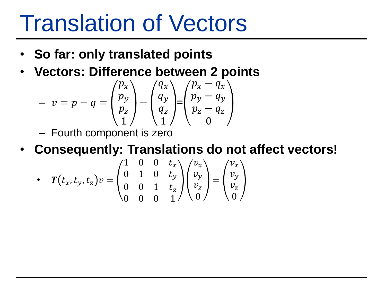### Translation of Vectors

- **So far: only translated points**
- **Vectors: Difference between 2 points**

$$
- v = p - q = \begin{pmatrix} p_x \\ p_y \\ p_z \\ 1 \end{pmatrix} - \begin{pmatrix} q_x \\ q_y \\ q_z \\ 1 \end{pmatrix} = \begin{pmatrix} p_x - q_x \\ p_y - q_y \\ p_z - q_z \\ 0 \end{pmatrix}
$$

- Fourth component is zero
- **Consequently: Translations do not affect vectors!**

• 
$$
T(t_x, t_y, t_z)v = \begin{pmatrix} 1 & 0 & 0 & t_x \ 0 & 1 & 0 & t_y \ 0 & 0 & 1 & t_z \ 0 & 0 & 0 & 1 \end{pmatrix} \begin{pmatrix} v_x \ v_y \ v_z \ 0 \end{pmatrix} = \begin{pmatrix} v_x \ v_y \ v_z \ 0 \end{pmatrix}
$$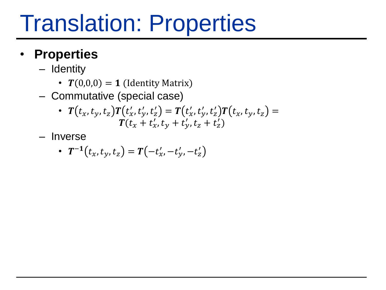## Translation: Properties

#### • **Properties**

- Identity
	- $T(0,0,0) = 1$  (Identity Matrix)
- Commutative (special case)

• 
$$
T(t_x, t_y, t_z)T(t'_x, t'_y, t'_z) = T(t'_x, t'_y, t'_z)T(t_x, t_y, t_z) =
$$
  
\n $T(t_x + t'_x, t_y + t'_y, t_z + t'_z)$ 

– Inverse

• 
$$
T^{-1}(t_x, t_y, t_z) = T(-t'_x, -t'_y, -t'_z)
$$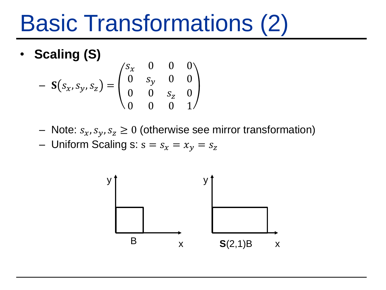## Basic Transformations (2)

• **Scaling (S)**

$$
- S(s_x, s_y, s_z) = \begin{pmatrix} s_x & 0 & 0 & 0 \\ 0 & s_y & 0 & 0 \\ 0 & 0 & s_z & 0 \\ 0 & 0 & 0 & 1 \end{pmatrix}
$$

- Note:  $s_x, s_y, s_z \geq 0$  (otherwise see mirror transformation)
- Uniform Scaling s:  $s = s_x = x_y = s_z$

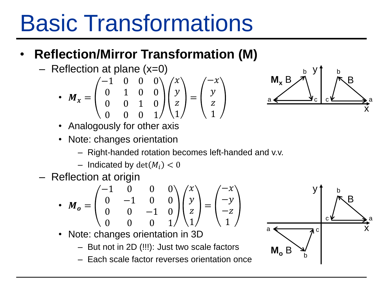# Basic Transformations

### • **Reflection/Mirror Transformation (M)**

– Reflection at plane (x=0)

• 
$$
M_x = \begin{pmatrix} -1 & 0 & 0 & 0 \\ 0 & 1 & 0 & 0 \\ 0 & 0 & 1 & 0 \\ 0 & 0 & 0 & 1 \end{pmatrix} \begin{pmatrix} x \\ y \\ z \\ 1 \end{pmatrix} = \begin{pmatrix} -x \\ y \\ z \\ 1 \end{pmatrix}
$$



- Analogously for other axis
- Note: changes orientation
	- Right-handed rotation becomes left-handed and v.v.
	- Indicated by  $\det(M_i) < 0$
- Reflection at origin

• 
$$
M_o = \begin{pmatrix} -1 & 0 & 0 & 0 \\ 0 & -1 & 0 & 0 \\ 0 & 0 & -1 & 0 \\ 0 & 0 & 0 & 1 \end{pmatrix} \begin{pmatrix} x \\ y \\ z \\ 1 \end{pmatrix} = \begin{pmatrix} -x \\ -y \\ -z \\ 1 \end{pmatrix}
$$

$$
\begin{array}{c|c}\n & \mathbf{y} \\
 & \mathbf{y} \\
 & \mathbf{y} \\
 & \mathbf{y} \\
 & \mathbf{y} \\
 & \mathbf{y} \\
 & \mathbf{z} \\
 & \mathbf{y} \\
 & \mathbf{z} \\
 & \mathbf{y} \\
 & \mathbf{z} \\
 & \mathbf{y} \\
 & \mathbf{z} \\
 & \mathbf{z} \\
 & \mathbf{z}\n\end{array}
$$

- Note: changes orientation in 3D
	- But not in 2D (!!!): Just two scale factors
	- Each scale factor reverses orientation once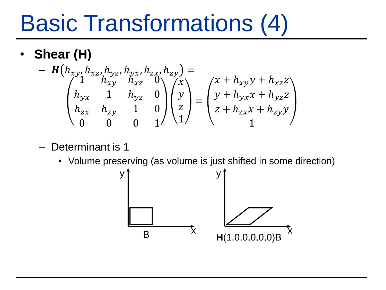# Basic Transformations (4)

• **Shear (H)**

$$
- H(h_{xy}, h_{xz}, h_{yz}, h_{yx}, h_{zx}, h_{zy}) =
$$
  
\n
$$
\begin{pmatrix}\n1 & h_{xy} & h_{xz} & 0 \\
h_{yx} & 1 & h_{yz} & 0 \\
h_{zx} & h_{zy} & 1 & 0 \\
0 & 0 & 0 & 1\n\end{pmatrix}\n\begin{pmatrix}\nx \\
y \\
z\n\end{pmatrix} =\n\begin{pmatrix}\nx + h_{xy}y + h_{xz}z \\
y + h_{yx}x + h_{yz}z \\
z + h_{zx}x + h_{zy}y\n\end{pmatrix}
$$

- Determinant is 1
	- Volume preserving (as volume is just shifted in some direction)

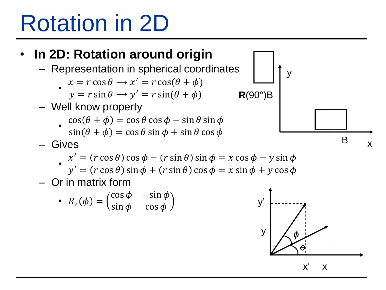## Rotation in 2D



x x'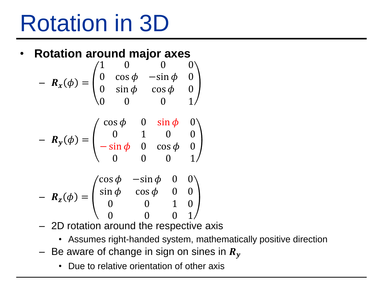## Rotation in 3D

#### • **Rotation around major axes**

$$
- R_x(\phi) = \begin{pmatrix} 1 & 0 & 0 & 0 \\ 0 & \cos \phi & -\sin \phi & 0 \\ 0 & \sin \phi & \cos \phi & 0 \\ 0 & 0 & 0 & 1 \end{pmatrix}
$$

$$
- R_y(\phi) = \begin{pmatrix} \cos \phi & 0 & \sin \phi & 0 \\ 0 & 1 & 0 & 0 \\ -\sin \phi & 0 & \cos \phi & 0 \\ 0 & 0 & 0 & 1 \end{pmatrix}
$$

$$
- R_z(\phi) = \begin{pmatrix} \cos \phi & -\sin \phi & 0 & 0 \\ \sin \phi & \cos \phi & 0 & 0 \\ 0 & 0 & 1 & 0 \\ 0 & 0 & 0 & 1 \end{pmatrix}
$$

- 2D rotation around the respective axis
	- Assumes right-handed system, mathematically positive direction
- Be aware of change in sign on sines in  $R_y$ 
	- Due to relative orientation of other axis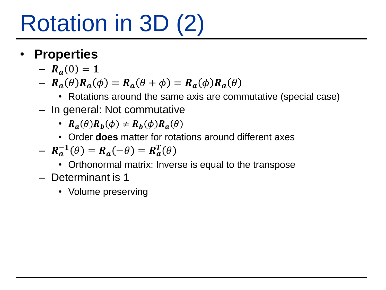# Rotation in 3D (2)

- **Properties**
	- $-R_a(0) = 1$
	- $R_a(\theta)R_a(\phi) = R_a(\theta + \phi) = R_a(\phi)R_a(\theta)$ 
		- Rotations around the same axis are commutative (special case)
	- In general: Not commutative
		- $R_a(\theta)R_b(\phi) \neq R_b(\phi)R_a(\theta)$
		- Order **does** matter for rotations around different axes

$$
- R_a^{-1}(\theta) = R_a(-\theta) = R_a^T(\theta)
$$

- Orthonormal matrix: Inverse is equal to the transpose
- Determinant is 1
	- Volume preserving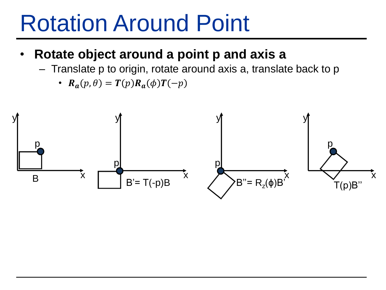### Rotation Around Point

#### • **Rotate object around a point p and axis a**

- Translate p to origin, rotate around axis a, translate back to p
	- $R_a(p, \theta) = T(p)R_a(\phi)T(-p)$

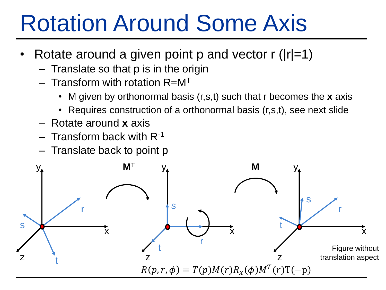### Rotation Around Some Axis

- Rotate around a given point p and vector  $r(|r|=1)$ 
	- $-$  Translate so that  $p$  is in the origin
	- $-$  Transform with rotation  $R=$ M<sup>T</sup>
		- M given by orthonormal basis (r,s,t) such that r becomes the **x** axis
		- Requires construction of a orthonormal basis (r,s,t), see next slide
	- Rotate around **x** axis
	- $-$  Transform back with  $R^{-1}$
	- Translate back to point p

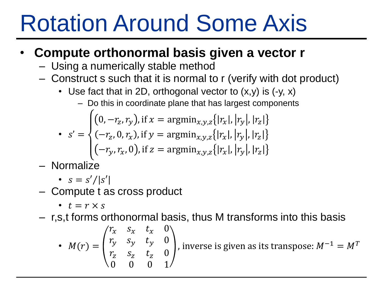## Rotation Around Some Axis

#### • **Compute orthonormal basis given a vector r**

- Using a numerically stable method
- Construct s such that it is normal to r (verify with dot product)
	- Use fact that in 2D, orthogonal vector to  $(x,y)$  is  $(-y, x)$ 
		- Do this in coordinate plane that has largest components

• 
$$
s' = \begin{cases} (0, -r_z, r_y), \text{ if } x = \text{argmin}_{x, y, z} \{ |r_x|, |r_y|, |r_z| \} \\ (-r_z, 0, r_x), \text{ if } y = \text{argmin}_{x, y, z} \{ |r_x|, |r_y|, |r_z| \} \end{cases}
$$

$$
(-r_y, r_x, 0), \text{if } z = \text{argmin}_{x, y, z} \{ |r_x|, |r_y|, |r_z| \}
$$

– Normalize

• 
$$
s = s'/|s'|
$$

- Compute t as cross product
	- $t = r \times s$
- r,s,t forms orthonormal basis, thus M transforms into this basis

• 
$$
M(r) = \begin{pmatrix} r_x & s_x & t_x & 0 \\ r_y & s_y & t_y & 0 \\ r_z & s_z & t_z & 0 \\ 0 & 0 & 0 & 1 \end{pmatrix}
$$
, inverse is given as its transpose:  $M^{-1} = M^T$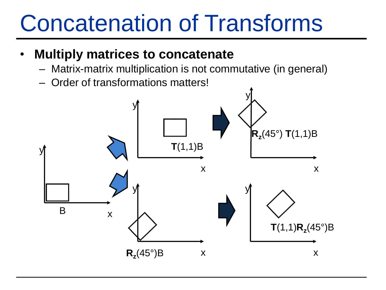## Concatenation of Transforms

- **Multiply matrices to concatenate** 
	- Matrix-matrix multiplication is not commutative (in general)
	- Order of transformations matters!

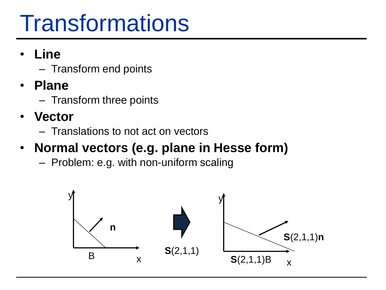## **Transformations**

- **Line**
	- Transform end points
- **Plane**
	- Transform three points
- **Vector**
	- Translations to not act on vectors

### • **Normal vectors (e.g. plane in Hesse form)**

– Problem: e.g. with non-uniform scaling